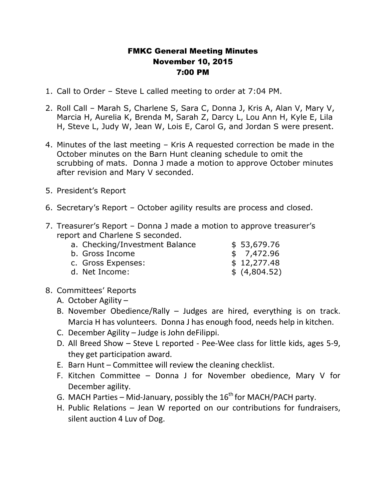## FMKC General Meeting Minutes November 10, 2015 7:00 PM

- 1. Call to Order Steve L called meeting to order at 7:04 PM.
- 2. Roll Call Marah S, Charlene S, Sara C, Donna J, Kris A, Alan V, Mary V, Marcia H, Aurelia K, Brenda M, Sarah Z, Darcy L, Lou Ann H, Kyle E, Lila H, Steve L, Judy W, Jean W, Lois E, Carol G, and Jordan S were present.
- 4. Minutes of the last meeting Kris A requested correction be made in the October minutes on the Barn Hunt cleaning schedule to omit the scrubbing of mats. Donna J made a motion to approve October minutes after revision and Mary V seconded.
- 5. President's Report
- 6. Secretary's Report October agility results are process and closed.
- 7. Treasurer's Report Donna J made a motion to approve treasurer's report and Charlene S seconded.

| a. Checking/Investment Balance | \$53,679.76   |
|--------------------------------|---------------|
| b. Gross Income                | \$7,472.96    |
| c. Gross Expenses:             | \$12,277.48   |
| d. Net Income:                 | \$ (4,804.52) |

- 8. Committees' Reports
	- A. October Agility –
	- B. November Obedience/Rally Judges are hired, everything is on track. Marcia H has volunteers. Donna J has enough food, needs help in kitchen.
	- C. December Agility Judge is John deFilippi.
	- D. All Breed Show Steve L reported Pee-Wee class for little kids, ages 5-9, they get participation award.
	- E. Barn Hunt Committee will review the cleaning checklist.
	- F. Kitchen Committee Donna J for November obedience, Mary V for December agility.
	- G. MACH Parties Mid-January, possibly the  $16^{th}$  for MACH/PACH party.
	- H. Public Relations Jean W reported on our contributions for fundraisers, silent auction 4 Luv of Dog.